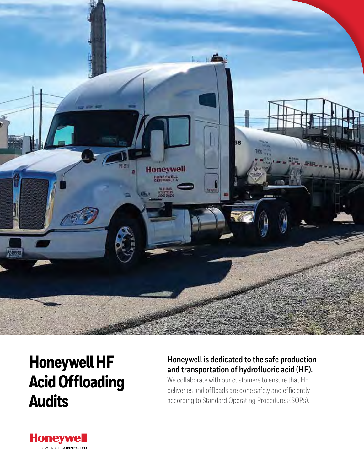

# **Honeywell HF Acid Offloading Audits**

### **Honeywell is dedicated to the safe production and transportation of hydrofluoric acid (HF).**

We collaborate with our customers to ensure that HF deliveries and offloads are done safely and efficiently according to Standard Operating Procedures (SOPs).